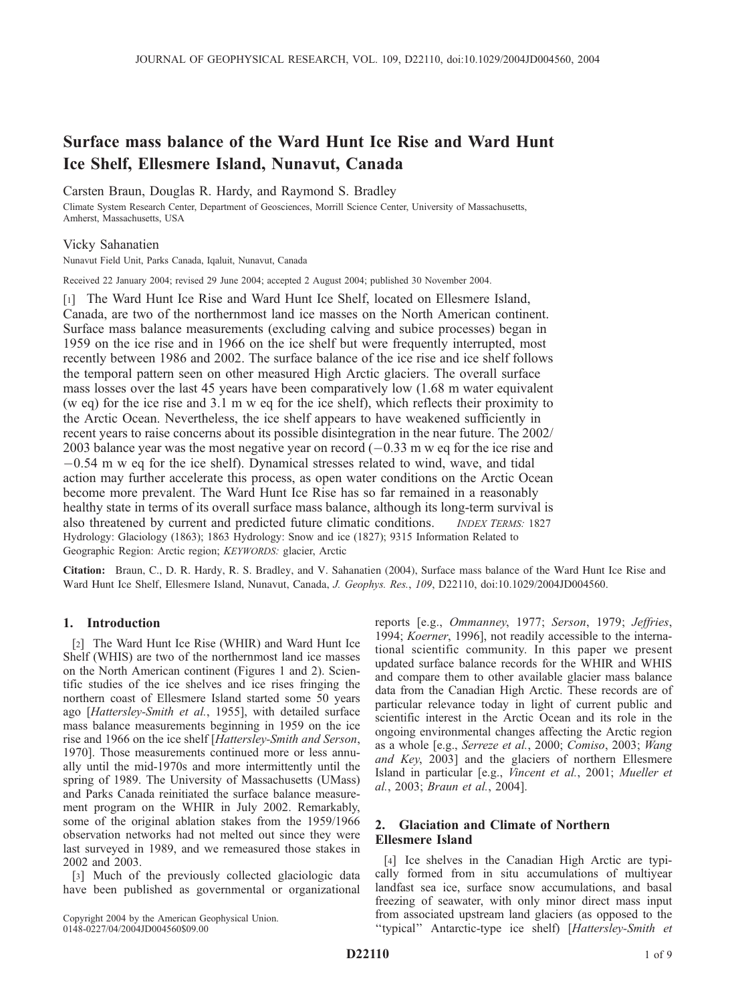# Surface mass balance of the Ward Hunt Ice Rise and Ward Hunt Ice Shelf, Ellesmere Island, Nunavut, Canada

Carsten Braun, Douglas R. Hardy, and Raymond S. Bradley

Climate System Research Center, Department of Geosciences, Morrill Science Center, University of Massachusetts, Amherst, Massachusetts, USA

Vicky Sahanatien

Nunavut Field Unit, Parks Canada, Iqaluit, Nunavut, Canada

Received 22 January 2004; revised 29 June 2004; accepted 2 August 2004; published 30 November 2004.

[1] The Ward Hunt Ice Rise and Ward Hunt Ice Shelf, located on Ellesmere Island, Canada, are two of the northernmost land ice masses on the North American continent. Surface mass balance measurements (excluding calving and subice processes) began in 1959 on the ice rise and in 1966 on the ice shelf but were frequently interrupted, most recently between 1986 and 2002. The surface balance of the ice rise and ice shelf follows the temporal pattern seen on other measured High Arctic glaciers. The overall surface mass losses over the last 45 years have been comparatively low (1.68 m water equivalent (w eq) for the ice rise and 3.1 m w eq for the ice shelf), which reflects their proximity to the Arctic Ocean. Nevertheless, the ice shelf appears to have weakened sufficiently in recent years to raise concerns about its possible disintegration in the near future. The 2002/ 2003 balance year was the most negative year on record  $(-0.33 \text{ m})$  w eq for the ice rise and  $-0.54$  m w eq for the ice shelf). Dynamical stresses related to wind, wave, and tidal action may further accelerate this process, as open water conditions on the Arctic Ocean become more prevalent. The Ward Hunt Ice Rise has so far remained in a reasonably healthy state in terms of its overall surface mass balance, although its long-term survival is also threatened by current and predicted future climatic conditions. *INDEX TERMS:* 1827 Hydrology: Glaciology (1863); 1863 Hydrology: Snow and ice (1827); 9315 Information Related to Geographic Region: Arctic region; KEYWORDS: glacier, Arctic

Citation: Braun, C., D. R. Hardy, R. S. Bradley, and V. Sahanatien (2004), Surface mass balance of the Ward Hunt Ice Rise and Ward Hunt Ice Shelf, Ellesmere Island, Nunavut, Canada, J. Geophys. Res., 109, D22110, doi:10.1029/2004JD004560.

## 1. Introduction

[2] The Ward Hunt Ice Rise (WHIR) and Ward Hunt Ice Shelf (WHIS) are two of the northernmost land ice masses on the North American continent (Figures 1 and 2). Scientific studies of the ice shelves and ice rises fringing the northern coast of Ellesmere Island started some 50 years ago [Hattersley-Smith et al., 1955], with detailed surface mass balance measurements beginning in 1959 on the ice rise and 1966 on the ice shelf [Hattersley-Smith and Serson, 1970]. Those measurements continued more or less annually until the mid-1970s and more intermittently until the spring of 1989. The University of Massachusetts (UMass) and Parks Canada reinitiated the surface balance measurement program on the WHIR in July 2002. Remarkably, some of the original ablation stakes from the 1959/1966 observation networks had not melted out since they were last surveyed in 1989, and we remeasured those stakes in 2002 and 2003.

[3] Much of the previously collected glaciologic data have been published as governmental or organizational

Copyright 2004 by the American Geophysical Union. 0148-0227/04/2004JD004560\$09.00

reports [e.g., Ommanney, 1977; Serson, 1979; Jeffries, 1994; Koerner, 1996], not readily accessible to the international scientific community. In this paper we present updated surface balance records for the WHIR and WHIS and compare them to other available glacier mass balance data from the Canadian High Arctic. These records are of particular relevance today in light of current public and scientific interest in the Arctic Ocean and its role in the ongoing environmental changes affecting the Arctic region as a whole [e.g., Serreze et al., 2000; Comiso, 2003; Wang and Key, 2003] and the glaciers of northern Ellesmere Island in particular [e.g., Vincent et al., 2001; Mueller et al., 2003; Braun et al., 2004].

## 2. Glaciation and Climate of Northern Ellesmere Island

[4] Ice shelves in the Canadian High Arctic are typically formed from in situ accumulations of multiyear landfast sea ice, surface snow accumulations, and basal freezing of seawater, with only minor direct mass input from associated upstream land glaciers (as opposed to the ''typical'' Antarctic-type ice shelf) [Hattersley-Smith et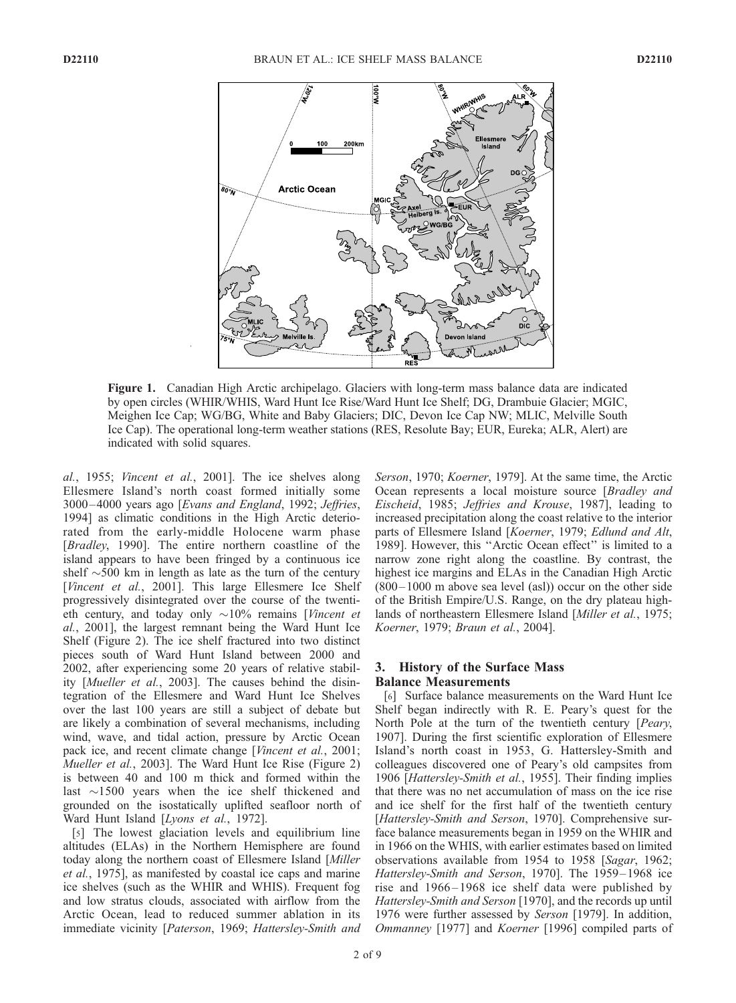

Figure 1. Canadian High Arctic archipelago. Glaciers with long-term mass balance data are indicated by open circles (WHIR/WHIS, Ward Hunt Ice Rise/Ward Hunt Ice Shelf; DG, Drambuie Glacier; MGIC, Meighen Ice Cap; WG/BG, White and Baby Glaciers; DIC, Devon Ice Cap NW; MLIC, Melville South Ice Cap). The operational long-term weather stations (RES, Resolute Bay; EUR, Eureka; ALR, Alert) are indicated with solid squares.

al., 1955; Vincent et al., 2001]. The ice shelves along Ellesmere Island's north coast formed initially some 3000 – 4000 years ago [Evans and England, 1992; Jeffries, 1994] as climatic conditions in the High Arctic deteriorated from the early-middle Holocene warm phase [Bradley, 1990]. The entire northern coastline of the island appears to have been fringed by a continuous ice shelf  $\sim$  500 km in length as late as the turn of the century [Vincent et al., 2001]. This large Ellesmere Ice Shelf progressively disintegrated over the course of the twentieth century, and today only  $\sim$ 10% remains [Vincent et al., 2001], the largest remnant being the Ward Hunt Ice Shelf (Figure 2). The ice shelf fractured into two distinct pieces south of Ward Hunt Island between 2000 and 2002, after experiencing some 20 years of relative stability [Mueller et al., 2003]. The causes behind the disintegration of the Ellesmere and Ward Hunt Ice Shelves over the last 100 years are still a subject of debate but are likely a combination of several mechanisms, including wind, wave, and tidal action, pressure by Arctic Ocean pack ice, and recent climate change [*Vincent et al.*, 2001; Mueller et al., 2003]. The Ward Hunt Ice Rise (Figure 2) is between 40 and 100 m thick and formed within the last  $\sim$ 1500 years when the ice shelf thickened and grounded on the isostatically uplifted seafloor north of Ward Hunt Island [Lyons et al., 1972].

[5] The lowest glaciation levels and equilibrium line altitudes (ELAs) in the Northern Hemisphere are found today along the northern coast of Ellesmere Island [Miller et al., 1975], as manifested by coastal ice caps and marine ice shelves (such as the WHIR and WHIS). Frequent fog and low stratus clouds, associated with airflow from the Arctic Ocean, lead to reduced summer ablation in its immediate vicinity [Paterson, 1969; Hattersley-Smith and

Serson, 1970; Koerner, 1979]. At the same time, the Arctic Ocean represents a local moisture source [Bradley and Eischeid, 1985; Jeffries and Krouse, 1987], leading to increased precipitation along the coast relative to the interior parts of Ellesmere Island [Koerner, 1979; Edlund and Alt, 1989]. However, this ''Arctic Ocean effect'' is limited to a narrow zone right along the coastline. By contrast, the highest ice margins and ELAs in the Canadian High Arctic (800– 1000 m above sea level (asl)) occur on the other side of the British Empire/U.S. Range, on the dry plateau highlands of northeastern Ellesmere Island [Miller et al., 1975; Koerner, 1979; Braun et al., 2004].

#### 3. History of the Surface Mass Balance Measurements

## [6] Surface balance measurements on the Ward Hunt Ice Shelf began indirectly with R. E. Peary's quest for the North Pole at the turn of the twentieth century [Peary, 1907]. During the first scientific exploration of Ellesmere Island's north coast in 1953, G. Hattersley-Smith and colleagues discovered one of Peary's old campsites from 1906 [Hattersley-Smith et al., 1955]. Their finding implies that there was no net accumulation of mass on the ice rise and ice shelf for the first half of the twentieth century [Hattersley-Smith and Serson, 1970]. Comprehensive surface balance measurements began in 1959 on the WHIR and in 1966 on the WHIS, with earlier estimates based on limited observations available from 1954 to 1958 [Sagar, 1962; Hattersley-Smith and Serson, 1970]. The 1959-1968 ice rise and 1966–1968 ice shelf data were published by Hattersley-Smith and Serson [1970], and the records up until 1976 were further assessed by Serson [1979]. In addition, Ommanney [1977] and Koerner [1996] compiled parts of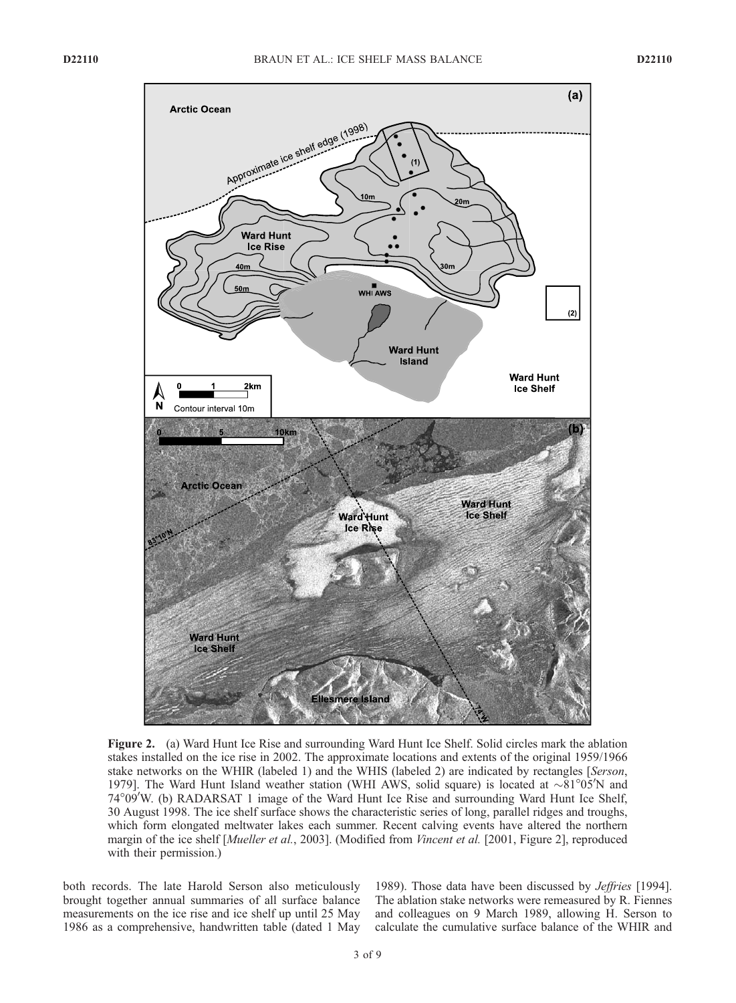

Figure 2. (a) Ward Hunt Ice Rise and surrounding Ward Hunt Ice Shelf. Solid circles mark the ablation stakes installed on the ice rise in 2002. The approximate locations and extents of the original 1959/1966 stake networks on the WHIR (labeled 1) and the WHIS (labeled 2) are indicated by rectangles [Serson, 1979]. The Ward Hunt Island weather station (WHI AWS, solid square) is located at  $\sim 81^{\circ}05'N$  and 74°09'W. (b) RADARSAT 1 image of the Ward Hunt Ice Rise and surrounding Ward Hunt Ice Shelf, 30 August 1998. The ice shelf surface shows the characteristic series of long, parallel ridges and troughs, which form elongated meltwater lakes each summer. Recent calving events have altered the northern margin of the ice shelf [*Mueller et al.*, 2003]. (Modified from *Vincent et al.* [2001, Figure 2], reproduced with their permission.)

both records. The late Harold Serson also meticulously brought together annual summaries of all surface balance measurements on the ice rise and ice shelf up until 25 May 1986 as a comprehensive, handwritten table (dated 1 May

1989). Those data have been discussed by *Jeffries* [1994]. The ablation stake networks were remeasured by R. Fiennes and colleagues on 9 March 1989, allowing H. Serson to calculate the cumulative surface balance of the WHIR and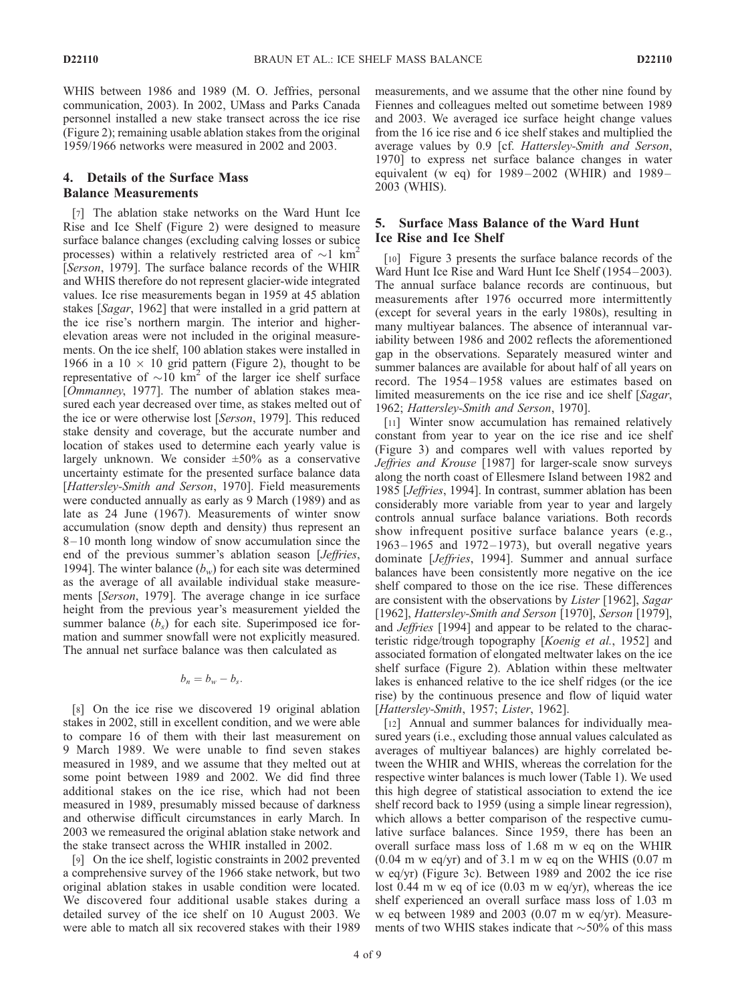WHIS between 1986 and 1989 (M. O. Jeffries, personal communication, 2003). In 2002, UMass and Parks Canada personnel installed a new stake transect across the ice rise (Figure 2); remaining usable ablation stakes from the original 1959/1966 networks were measured in 2002 and 2003.

## 4. Details of the Surface Mass Balance Measurements

[7] The ablation stake networks on the Ward Hunt Ice Rise and Ice Shelf (Figure 2) were designed to measure surface balance changes (excluding calving losses or subice processes) within a relatively restricted area of  $\sim$ 1 km<sup>2</sup> [Serson, 1979]. The surface balance records of the WHIR and WHIS therefore do not represent glacier-wide integrated values. Ice rise measurements began in 1959 at 45 ablation stakes [Sagar, 1962] that were installed in a grid pattern at the ice rise's northern margin. The interior and higherelevation areas were not included in the original measurements. On the ice shelf, 100 ablation stakes were installed in 1966 in a 10  $\times$  10 grid pattern (Figure 2), thought to be representative of  $\sim 10 \text{ km}^2$  of the larger ice shelf surface [*Ommanney*, 1977]. The number of ablation stakes measured each year decreased over time, as stakes melted out of the ice or were otherwise lost [Serson, 1979]. This reduced stake density and coverage, but the accurate number and location of stakes used to determine each yearly value is largely unknown. We consider  $\pm 50\%$  as a conservative uncertainty estimate for the presented surface balance data [Hattersley-Smith and Serson, 1970]. Field measurements were conducted annually as early as 9 March (1989) and as late as 24 June (1967). Measurements of winter snow accumulation (snow depth and density) thus represent an 8 – 10 month long window of snow accumulation since the end of the previous summer's ablation season [*Jeffries*, 1994]. The winter balance  $(b_w)$  for each site was determined as the average of all available individual stake measurements [Serson, 1979]. The average change in ice surface height from the previous year's measurement yielded the summer balance  $(b_s)$  for each site. Superimposed ice formation and summer snowfall were not explicitly measured. The annual net surface balance was then calculated as

 $b_n = b_w - b_s.$ 

[8] On the ice rise we discovered 19 original ablation stakes in 2002, still in excellent condition, and we were able to compare 16 of them with their last measurement on 9 March 1989. We were unable to find seven stakes measured in 1989, and we assume that they melted out at some point between 1989 and 2002. We did find three additional stakes on the ice rise, which had not been measured in 1989, presumably missed because of darkness and otherwise difficult circumstances in early March. In 2003 we remeasured the original ablation stake network and the stake transect across the WHIR installed in 2002.

[9] On the ice shelf, logistic constraints in 2002 prevented a comprehensive survey of the 1966 stake network, but two original ablation stakes in usable condition were located. We discovered four additional usable stakes during a detailed survey of the ice shelf on 10 August 2003. We were able to match all six recovered stakes with their 1989 measurements, and we assume that the other nine found by Fiennes and colleagues melted out sometime between 1989 and 2003. We averaged ice surface height change values from the 16 ice rise and 6 ice shelf stakes and multiplied the average values by 0.9 [cf. Hattersley-Smith and Serson, 1970] to express net surface balance changes in water equivalent (w eq) for  $1989-2002$  (WHIR) and  $1989-$ 2003 (WHIS).

### 5. Surface Mass Balance of the Ward Hunt Ice Rise and Ice Shelf

[10] Figure 3 presents the surface balance records of the Ward Hunt Ice Rise and Ward Hunt Ice Shelf (1954–2003). The annual surface balance records are continuous, but measurements after 1976 occurred more intermittently (except for several years in the early 1980s), resulting in many multiyear balances. The absence of interannual variability between 1986 and 2002 reflects the aforementioned gap in the observations. Separately measured winter and summer balances are available for about half of all years on record. The 1954– 1958 values are estimates based on limited measurements on the ice rise and ice shelf [Sagar, 1962; Hattersley-Smith and Serson, 1970].

[11] Winter snow accumulation has remained relatively constant from year to year on the ice rise and ice shelf (Figure 3) and compares well with values reported by Jeffries and Krouse [1987] for larger-scale snow surveys along the north coast of Ellesmere Island between 1982 and 1985 [Jeffries, 1994]. In contrast, summer ablation has been considerably more variable from year to year and largely controls annual surface balance variations. Both records show infrequent positive surface balance years (e.g.,  $1963 - 1965$  and  $1972 - 1973$ ), but overall negative years dominate [Jeffries, 1994]. Summer and annual surface balances have been consistently more negative on the ice shelf compared to those on the ice rise. These differences are consistent with the observations by Lister [1962], Sagar [1962], Hattersley-Smith and Serson [1970], Serson [1979], and Jeffries [1994] and appear to be related to the characteristic ridge/trough topography [Koenig et al., 1952] and associated formation of elongated meltwater lakes on the ice shelf surface (Figure 2). Ablation within these meltwater lakes is enhanced relative to the ice shelf ridges (or the ice rise) by the continuous presence and flow of liquid water [Hattersley-Smith, 1957; Lister, 1962].

[12] Annual and summer balances for individually measured years (i.e., excluding those annual values calculated as averages of multiyear balances) are highly correlated between the WHIR and WHIS, whereas the correlation for the respective winter balances is much lower (Table 1). We used this high degree of statistical association to extend the ice shelf record back to 1959 (using a simple linear regression), which allows a better comparison of the respective cumulative surface balances. Since 1959, there has been an overall surface mass loss of 1.68 m w eq on the WHIR  $(0.04 \text{ m} \text{ w } \text{eq/yr})$  and of 3.1 m w eq on the WHIS  $(0.07 \text{ m})$ w eq/yr) (Figure 3c). Between 1989 and 2002 the ice rise lost 0.44 m w eq of ice (0.03 m w eq/yr), whereas the ice shelf experienced an overall surface mass loss of 1.03 m w eq between 1989 and 2003 (0.07 m w eq/yr). Measurements of two WHIS stakes indicate that  $\sim$ 50% of this mass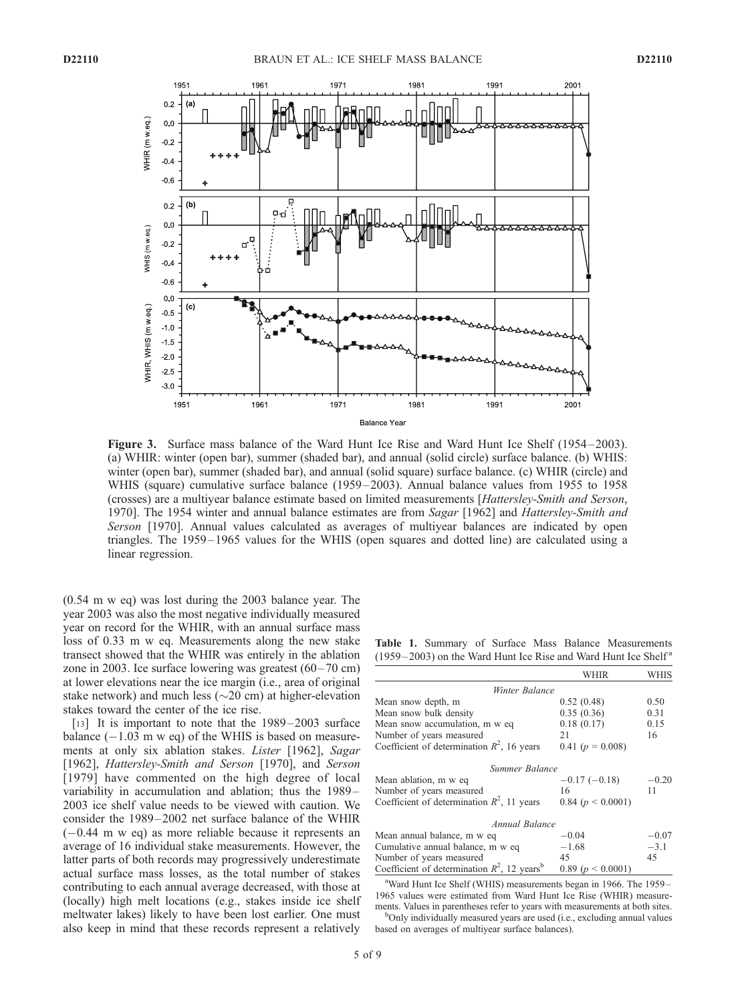

Figure 3. Surface mass balance of the Ward Hunt Ice Rise and Ward Hunt Ice Shelf (1954–2003). (a) WHIR: winter (open bar), summer (shaded bar), and annual (solid circle) surface balance. (b) WHIS: winter (open bar), summer (shaded bar), and annual (solid square) surface balance. (c) WHIR (circle) and WHIS (square) cumulative surface balance (1959–2003). Annual balance values from 1955 to 1958 (crosses) are a multiyear balance estimate based on limited measurements [Hattersley-Smith and Serson, 1970]. The 1954 winter and annual balance estimates are from Sagar [1962] and Hattersley-Smith and Serson [1970]. Annual values calculated as averages of multiyear balances are indicated by open triangles. The 1959 – 1965 values for the WHIS (open squares and dotted line) are calculated using a linear regression.

(0.54 m w eq) was lost during the 2003 balance year. The year 2003 was also the most negative individually measured year on record for the WHIR, with an annual surface mass loss of 0.33 m w eq. Measurements along the new stake transect showed that the WHIR was entirely in the ablation zone in 2003. Ice surface lowering was greatest  $(60 - 70$  cm) at lower elevations near the ice margin (i.e., area of original stake network) and much less  $(\sim 20 \text{ cm})$  at higher-elevation stakes toward the center of the ice rise.

[13] It is important to note that the 1989–2003 surface balance  $(-1.03 \text{ m} \text{ w eq})$  of the WHIS is based on measurements at only six ablation stakes. *Lister* [1962], Sagar [1962], Hattersley-Smith and Serson [1970], and Serson [1979] have commented on the high degree of local variability in accumulation and ablation; thus the 1989 – 2003 ice shelf value needs to be viewed with caution. We consider the 1989–2002 net surface balance of the WHIR  $(-0.44 \text{ m} \text{ w} \text{ eq})$  as more reliable because it represents an average of 16 individual stake measurements. However, the latter parts of both records may progressively underestimate actual surface mass losses, as the total number of stakes contributing to each annual average decreased, with those at (locally) high melt locations (e.g., stakes inside ice shelf meltwater lakes) likely to have been lost earlier. One must also keep in mind that these records represent a relatively

Table 1. Summary of Surface Mass Balance Measurements (1959 – 2003) on the Ward Hunt Ice Rise and Ward Hunt Ice Shelf <sup>a</sup>

| Winter Balance                                             |                         |         |
|------------------------------------------------------------|-------------------------|---------|
| Mean snow depth, m                                         | 0.52(0.48)              | 0.50    |
| Mean snow bulk density                                     | 0.35(0.36)              | 0.31    |
| Mean snow accumulation, m w eq                             | 0.18(0.17)              | 0.15    |
| Number of years measured                                   | 21                      | 16      |
| Coefficient of determination $R^2$ , 16 years              | 0.41 ( $p = 0.008$ )    |         |
| Summer Balance                                             |                         |         |
| Mean ablation, m w eq                                      | $-0.17(-0.18)$          | $-0.20$ |
| Number of years measured                                   | 16                      | 11      |
| Coefficient of determination $R^2$ , 11 years              | $0.84$ ( $p < 0.0001$ ) |         |
| Annual Balance                                             |                         |         |
| Mean annual balance, m w eq                                | $-0.04$                 | $-0.07$ |
| Cumulative annual balance, m w eq                          | $-1.68$                 | $-3.1$  |
| Number of years measured                                   | 45                      | 45      |
| Coefficient of determination $R^2$ , 12 years <sup>b</sup> | 0.89(p < 0.0001)        |         |
|                                                            |                         |         |

<sup>a</sup>Ward Hunt Ice Shelf (WHIS) measurements began in 1966. The 1959– 1965 values were estimated from Ward Hunt Ice Rise (WHIR) measurements. Values in parentheses refer to years with measurements at both sites.

<sup>b</sup>Only individually measured years are used (i.e., excluding annual values based on averages of multiyear surface balances).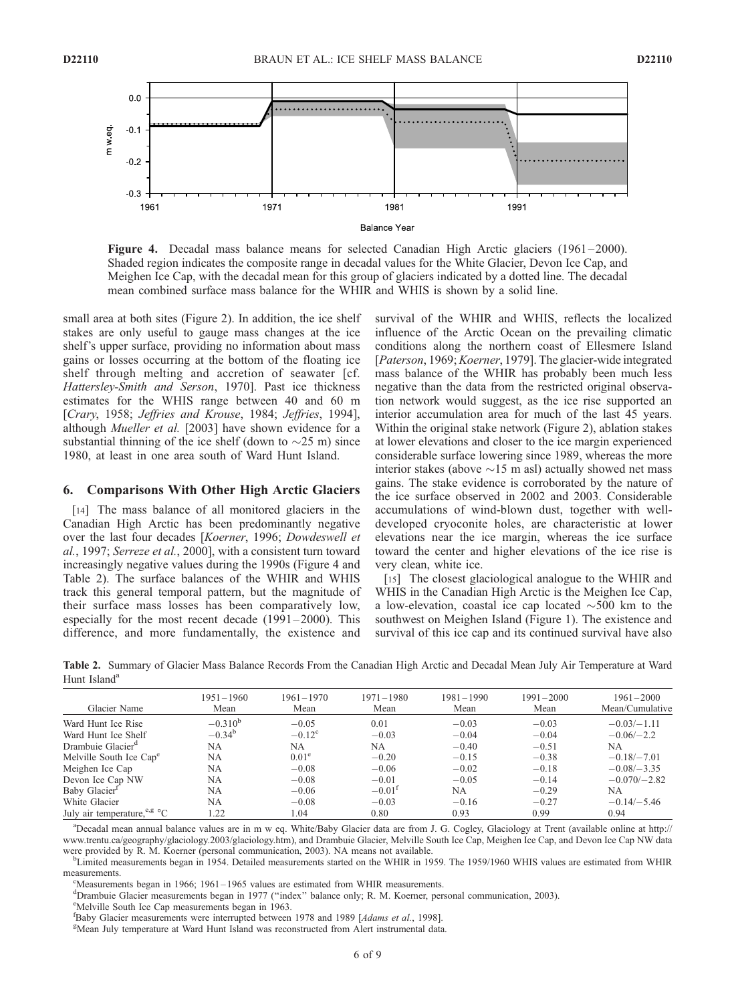

Figure 4. Decadal mass balance means for selected Canadian High Arctic glaciers (1961–2000). Shaded region indicates the composite range in decadal values for the White Glacier, Devon Ice Cap, and Meighen Ice Cap, with the decadal mean for this group of glaciers indicated by a dotted line. The decadal mean combined surface mass balance for the WHIR and WHIS is shown by a solid line.

small area at both sites (Figure 2). In addition, the ice shelf stakes are only useful to gauge mass changes at the ice shelf's upper surface, providing no information about mass gains or losses occurring at the bottom of the floating ice shelf through melting and accretion of seawater [cf. Hattersley-Smith and Serson, 1970]. Past ice thickness estimates for the WHIS range between 40 and 60 m [Crary, 1958; Jeffries and Krouse, 1984; Jeffries, 1994], although Mueller et al. [2003] have shown evidence for a substantial thinning of the ice shelf (down to  $\sim$ 25 m) since 1980, at least in one area south of Ward Hunt Island.

#### 6. Comparisons With Other High Arctic Glaciers

[14] The mass balance of all monitored glaciers in the Canadian High Arctic has been predominantly negative over the last four decades [Koerner, 1996; Dowdeswell et al., 1997; Serreze et al., 2000], with a consistent turn toward increasingly negative values during the 1990s (Figure 4 and Table 2). The surface balances of the WHIR and WHIS track this general temporal pattern, but the magnitude of their surface mass losses has been comparatively low, especially for the most recent decade  $(1991–2000)$ . This difference, and more fundamentally, the existence and survival of the WHIR and WHIS, reflects the localized influence of the Arctic Ocean on the prevailing climatic conditions along the northern coast of Ellesmere Island [Paterson, 1969; Koerner, 1979]. The glacier-wide integrated mass balance of the WHIR has probably been much less negative than the data from the restricted original observation network would suggest, as the ice rise supported an interior accumulation area for much of the last 45 years. Within the original stake network (Figure 2), ablation stakes at lower elevations and closer to the ice margin experienced considerable surface lowering since 1989, whereas the more interior stakes (above  $\sim$ 15 m asl) actually showed net mass gains. The stake evidence is corroborated by the nature of the ice surface observed in 2002 and 2003. Considerable accumulations of wind-blown dust, together with welldeveloped cryoconite holes, are characteristic at lower elevations near the ice margin, whereas the ice surface toward the center and higher elevations of the ice rise is very clean, white ice.

[15] The closest glaciological analogue to the WHIR and WHIS in the Canadian High Arctic is the Meighen Ice Cap, a low-elevation, coastal ice cap located  $\sim$  500 km to the southwest on Meighen Island (Figure 1). The existence and survival of this ice cap and its continued survival have also

|                          |  |  |  |  |  | Table 2. Summary of Glacier Mass Balance Records From the Canadian High Arctic and Decadal Mean July Air Temperature at Ward |  |
|--------------------------|--|--|--|--|--|------------------------------------------------------------------------------------------------------------------------------|--|
| Hunt Island <sup>a</sup> |  |  |  |  |  |                                                                                                                              |  |

| Glacier Name                         | $1951 - 1960$<br>Mean | $1961 - 1970$<br>Mean | $1971 - 1980$<br>Mean | $1981 - 1990$<br>Mean | $1991 - 2000$<br>Mean | $1961 - 2000$<br>Mean/Cumulative |
|--------------------------------------|-----------------------|-----------------------|-----------------------|-----------------------|-----------------------|----------------------------------|
| Ward Hunt Ice Rise                   | $-0.310^{b}$          | $-0.05$               | 0.01                  | $-0.03$               | $-0.03$               | $-0.03/-1.11$                    |
| Ward Hunt Ice Shelf                  | $-0.34^{\circ}$       | $-0.12^{\circ}$       | $-0.03$               | $-0.04$               | $-0.04$               | $-0.06/-2.2$                     |
| Drambuie Glacier <sup>d</sup>        | NA                    | NA                    | NA                    | $-0.40$               | $-0.51$               | NA                               |
| Melville South Ice Cap <sup>e</sup>  | NA                    | 0.01 <sup>e</sup>     | $-0.20$               | $-0.15$               | $-0.38$               | $-0.18/-7.01$                    |
| Meighen Ice Cap                      | NA                    | $-0.08$               | $-0.06$               | $-0.02$               | $-0.18$               | $-0.08/-3.35$                    |
| Devon Ice Cap NW                     | NA                    | $-0.08$               | $-0.01$               | $-0.05$               | $-0.14$               | $-0.070/-2.82$                   |
| Baby Glacier <sup>t</sup>            | NA                    | $-0.06$               | $-0.01^{\text{t}}$    | NA                    | $-0.29$               | NA                               |
| White Glacier                        | NA                    | $-0.08$               | $-0.03$               | $-0.16$               | $-0.27$               | $-0.14/-5.46$                    |
| July air temperature, $e, g \circ C$ | 1.22                  | 1.04                  | 0.80                  | 0.93                  | 0.99                  | 0.94                             |

a Decadal mean annual balance values are in m w eq. White/Baby Glacier data are from J. G. Cogley, Glaciology at Trent (available online at http:// www.trentu.ca/geography/glaciology.2003/glaciology.htm), and Drambuie Glacier, Melville South Ice Cap, Meighen Ice Cap, and Devon Ice Cap NW data were provided by R. M. Koerner (personal communication, 2003). NA means not available.

<sup>b</sup>Limited measurements began in 1954. Detailed measurements started on the WHIR in 1959. The 1959/1960 WHIS values are estimated from WHIR measurements.

 $\textdegree$ Measurements began in 1966; 1961–1965 values are estimated from WHIR measurements.

d Drambuie Glacier measurements began in 1977 (''index'' balance only; R. M. Koerner, personal communication, 2003).

e Melville South Ice Cap measurements began in 1963.

fBaby Glacier measurements were interrupted between 1978 and 1989 [Adams et al., 1998].

<sup>g</sup>Mean July temperature at Ward Hunt Island was reconstructed from Alert instrumental data.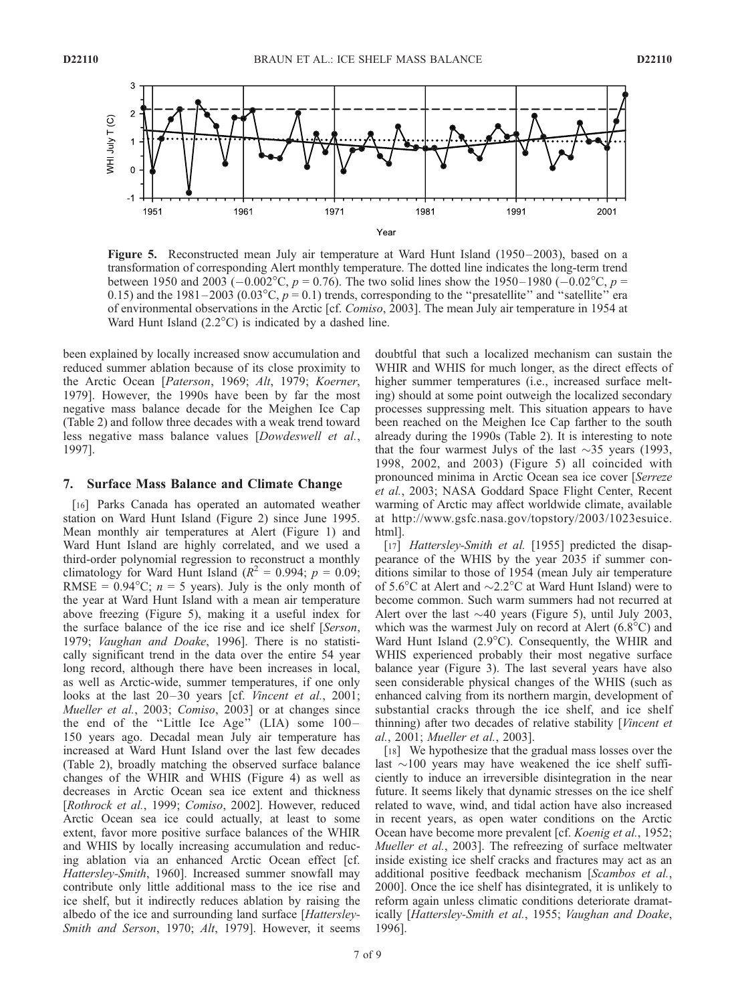

Figure 5. Reconstructed mean July air temperature at Ward Hunt Island (1950–2003), based on a transformation of corresponding Alert monthly temperature. The dotted line indicates the long-term trend between 1950 and 2003 ( $-0.002^{\circ}\text{C}$ ,  $p = 0.76$ ). The two solid lines show the 1950–1980 ( $-0.02^{\circ}\text{C}$ ,  $p =$ 0.15) and the  $1981 - 2003$  (0.03<sup>o</sup>C,  $p = 0.1$ ) trends, corresponding to the "presatellite" and "satellite" era of environmental observations in the Arctic [cf. *Comiso*, 2003]. The mean July air temperature in 1954 at Ward Hunt Island  $(2.2^{\circ}C)$  is indicated by a dashed line.

been explained by locally increased snow accumulation and reduced summer ablation because of its close proximity to the Arctic Ocean [Paterson, 1969; Alt, 1979; Koerner, 1979]. However, the 1990s have been by far the most negative mass balance decade for the Meighen Ice Cap (Table 2) and follow three decades with a weak trend toward less negative mass balance values [Dowdeswell et al., 1997].

#### 7. Surface Mass Balance and Climate Change

[16] Parks Canada has operated an automated weather station on Ward Hunt Island (Figure 2) since June 1995. Mean monthly air temperatures at Alert (Figure 1) and Ward Hunt Island are highly correlated, and we used a third-order polynomial regression to reconstruct a monthly climatology for Ward Hunt Island ( $R^2 = 0.994$ ;  $p = 0.09$ ; RMSE =  $0.94^{\circ}$ C;  $n = 5$  years). July is the only month of the year at Ward Hunt Island with a mean air temperature above freezing (Figure 5), making it a useful index for the surface balance of the ice rise and ice shelf [Serson, 1979; Vaughan and Doake, 1996]. There is no statistically significant trend in the data over the entire 54 year long record, although there have been increases in local, as well as Arctic-wide, summer temperatures, if one only looks at the last 20-30 years [cf. Vincent et al., 2001; Mueller et al., 2003; Comiso, 2003] or at changes since the end of the "Little Ice Age"  $(LIA)$  some  $100-$ 150 years ago. Decadal mean July air temperature has increased at Ward Hunt Island over the last few decades (Table 2), broadly matching the observed surface balance changes of the WHIR and WHIS (Figure 4) as well as decreases in Arctic Ocean sea ice extent and thickness [Rothrock et al., 1999; Comiso, 2002]. However, reduced Arctic Ocean sea ice could actually, at least to some extent, favor more positive surface balances of the WHIR and WHIS by locally increasing accumulation and reducing ablation via an enhanced Arctic Ocean effect [cf. Hattersley-Smith, 1960]. Increased summer snowfall may contribute only little additional mass to the ice rise and ice shelf, but it indirectly reduces ablation by raising the albedo of the ice and surrounding land surface [*Hattersley*-Smith and Serson, 1970; Alt, 1979]. However, it seems

doubtful that such a localized mechanism can sustain the WHIR and WHIS for much longer, as the direct effects of higher summer temperatures (i.e., increased surface melting) should at some point outweigh the localized secondary processes suppressing melt. This situation appears to have been reached on the Meighen Ice Cap farther to the south already during the 1990s (Table 2). It is interesting to note that the four warmest Julys of the last  $\sim$ 35 years (1993, 1998, 2002, and 2003) (Figure 5) all coincided with pronounced minima in Arctic Ocean sea ice cover [Serreze et al., 2003; NASA Goddard Space Flight Center, Recent warming of Arctic may affect worldwide climate, available at http://www.gsfc.nasa.gov/topstory/2003/1023esuice. html].

[17] Hattersley-Smith et al. [1955] predicted the disappearance of the WHIS by the year 2035 if summer conditions similar to those of 1954 (mean July air temperature of 5.6 $\rm ^{o}C$  at Alert and  $\rm {\sim}2.2\rm ^{o}C$  at Ward Hunt Island) were to become common. Such warm summers had not recurred at Alert over the last  $\sim$  40 years (Figure 5), until July 2003, which was the warmest July on record at Alert  $(6.8^{\circ}C)$  and Ward Hunt Island  $(2.9^{\circ}C)$ . Consequently, the WHIR and WHIS experienced probably their most negative surface balance year (Figure 3). The last several years have also seen considerable physical changes of the WHIS (such as enhanced calving from its northern margin, development of substantial cracks through the ice shelf, and ice shelf thinning) after two decades of relative stability [Vincent et al., 2001; Mueller et al., 2003].

[18] We hypothesize that the gradual mass losses over the last  $\sim$ 100 years may have weakened the ice shelf sufficiently to induce an irreversible disintegration in the near future. It seems likely that dynamic stresses on the ice shelf related to wave, wind, and tidal action have also increased in recent years, as open water conditions on the Arctic Ocean have become more prevalent [cf. Koenig et al., 1952; Mueller et al., 2003]. The refreezing of surface meltwater inside existing ice shelf cracks and fractures may act as an additional positive feedback mechanism [Scambos et al., 2000]. Once the ice shelf has disintegrated, it is unlikely to reform again unless climatic conditions deteriorate dramatically [Hattersley-Smith et al., 1955; Vaughan and Doake, 1996].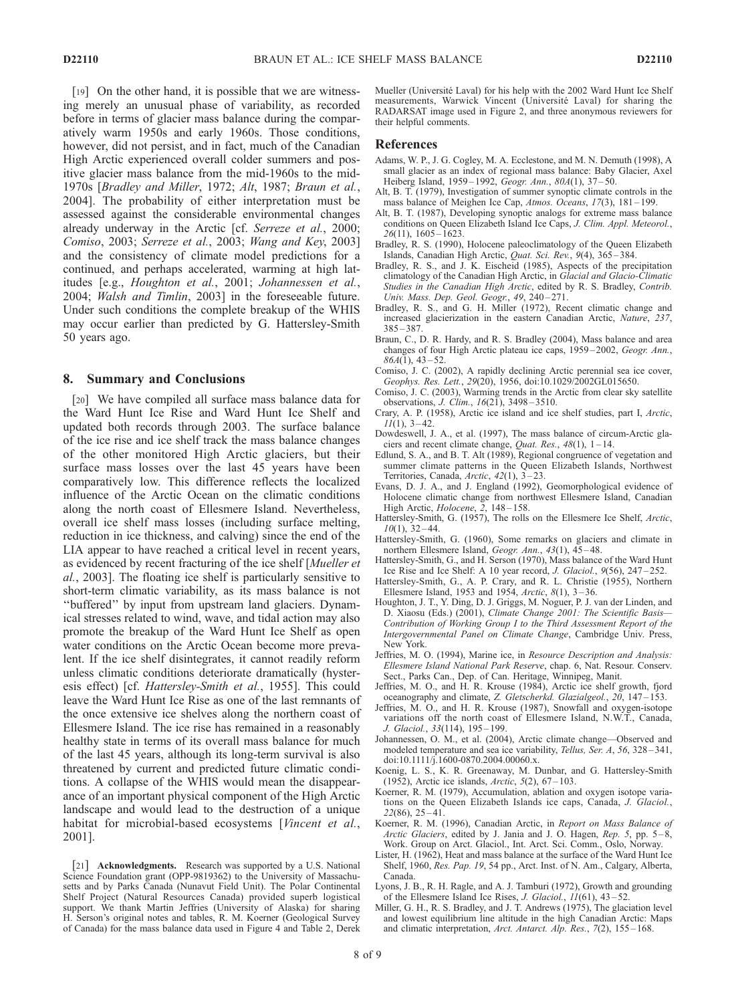[19] On the other hand, it is possible that we are witnessing merely an unusual phase of variability, as recorded before in terms of glacier mass balance during the comparatively warm 1950s and early 1960s. Those conditions, however, did not persist, and in fact, much of the Canadian High Arctic experienced overall colder summers and positive glacier mass balance from the mid-1960s to the mid-1970s [Bradley and Miller, 1972; Alt, 1987; Braun et al., 2004]. The probability of either interpretation must be assessed against the considerable environmental changes already underway in the Arctic [cf. Serreze et al., 2000; Comiso, 2003; Serreze et al., 2003; Wang and Key, 2003] and the consistency of climate model predictions for a continued, and perhaps accelerated, warming at high latitudes [e.g., Houghton et al., 2001; Johannessen et al., 2004; Walsh and Timlin, 2003] in the foreseeable future. Under such conditions the complete breakup of the WHIS may occur earlier than predicted by G. Hattersley-Smith 50 years ago.

#### 8. Summary and Conclusions

[20] We have compiled all surface mass balance data for the Ward Hunt Ice Rise and Ward Hunt Ice Shelf and updated both records through 2003. The surface balance of the ice rise and ice shelf track the mass balance changes of the other monitored High Arctic glaciers, but their surface mass losses over the last 45 years have been comparatively low. This difference reflects the localized influence of the Arctic Ocean on the climatic conditions along the north coast of Ellesmere Island. Nevertheless, overall ice shelf mass losses (including surface melting, reduction in ice thickness, and calving) since the end of the LIA appear to have reached a critical level in recent years, as evidenced by recent fracturing of the ice shelf [Mueller et al., 2003]. The floating ice shelf is particularly sensitive to short-term climatic variability, as its mass balance is not ''buffered'' by input from upstream land glaciers. Dynamical stresses related to wind, wave, and tidal action may also promote the breakup of the Ward Hunt Ice Shelf as open water conditions on the Arctic Ocean become more prevalent. If the ice shelf disintegrates, it cannot readily reform unless climatic conditions deteriorate dramatically (hysteresis effect) [cf. Hattersley-Smith et al., 1955]. This could leave the Ward Hunt Ice Rise as one of the last remnants of the once extensive ice shelves along the northern coast of Ellesmere Island. The ice rise has remained in a reasonably healthy state in terms of its overall mass balance for much of the last 45 years, although its long-term survival is also threatened by current and predicted future climatic conditions. A collapse of the WHIS would mean the disappearance of an important physical component of the High Arctic landscape and would lead to the destruction of a unique habitat for microbial-based ecosystems [Vincent et al., 2001].

[21] Acknowledgments. Research was supported by a U.S. National Science Foundation grant (OPP-9819362) to the University of Massachusetts and by Parks Canada (Nunavut Field Unit). The Polar Continental Shelf Project (Natural Resources Canada) provided superb logistical support. We thank Martin Jeffries (University of Alaska) for sharing H. Serson's original notes and tables, R. M. Koerner (Geological Survey of Canada) for the mass balance data used in Figure 4 and Table 2, Derek

Mueller (Université Laval) for his help with the 2002 Ward Hunt Ice Shelf measurements, Warwick Vincent (Université Laval) for sharing the RADARSAT image used in Figure 2, and three anonymous reviewers for their helpful comments.

#### References

- Adams, W. P., J. G. Cogley, M. A. Ecclestone, and M. N. Demuth (1998), A small glacier as an index of regional mass balance: Baby Glacier, Axel Heiberg Island, 1959–1992, Geogr. Ann., 80A(1), 37–50.
- Alt, B. T. (1979), Investigation of summer synoptic climate controls in the mass balance of Meighen Ice Cap, Atmos. Oceans, 17(3), 181-199.
- Alt, B. T. (1987), Developing synoptic analogs for extreme mass balance conditions on Queen Elizabeth Island Ice Caps, J. Clim. Appl. Meteorol.,  $26(11)$ ,  $1605 - 1623$ .
- Bradley, R. S. (1990), Holocene paleoclimatology of the Queen Elizabeth Islands, Canadian High Arctic, Quat. Sci. Rev., 9(4), 365 – 384.
- Bradley, R. S., and J. K. Eischeid (1985), Aspects of the precipitation climatology of the Canadian High Arctic, in Glacial and Glacio-Climatic Studies in the Canadian High Arctic, edited by R. S. Bradley, Contrib. Univ. Mass. Dep. Geol. Geogr., 49, 240-271.
- Bradley, R. S., and G. H. Miller (1972), Recent climatic change and increased glacierization in the eastern Canadian Arctic, Nature, 237, 385 – 387.
- Braun, C., D. R. Hardy, and R. S. Bradley (2004), Mass balance and area changes of four High Arctic plateau ice caps, 1959-2002, Geogr. Ann.,  $86A(1)$ , 43 – 52.
- Comiso, J. C. (2002), A rapidly declining Arctic perennial sea ice cover, Geophys. Res. Lett., 29(20), 1956, doi:10.1029/2002GL015650.
- Comiso, J. C. (2003), Warming trends in the Arctic from clear sky satellite observations, *J. Clim.*, 16(21), 3498-3510.
- Crary, A. P. (1958), Arctic ice island and ice shelf studies, part I, Arctic,  $11(1), 3-42.$
- Dowdeswell, J. A., et al. (1997), The mass balance of circum-Arctic glaciers and recent climate change, *Quat. Res.*,  $48(1)$ ,  $1-14$ .
- Edlund, S. A., and B. T. Alt (1989), Regional congruence of vegetation and summer climate patterns in the Queen Elizabeth Islands, Northwest Territories, Canada, Arctic, 42(1), 3-23.
- Evans, D. J. A., and J. England (1992), Geomorphological evidence of Holocene climatic change from northwest Ellesmere Island, Canadian High Arctic, Holocene, 2, 148-158.
- Hattersley-Smith, G. (1957), The rolls on the Ellesmere Ice Shelf, Arctic,  $10(1)$ , 32–44.
- Hattersley-Smith, G. (1960), Some remarks on glaciers and climate in northern Ellesmere Island, Geogr. Ann., 43(1), 45 – 48.
- Hattersley-Smith, G., and H. Serson (1970), Mass balance of the Ward Hunt Ice Rise and Ice Shelf: A 10 year record, J. Glaciol., 9(56), 247 – 252.
- Hattersley-Smith, G., A. P. Crary, and R. L. Christie (1955), Northern Ellesmere Island, 1953 and 1954, Arctic,  $8(1)$ ,  $3-36$ .
- Houghton, J. T., Y. Ding, D. J. Griggs, M. Noguer, P. J. van der Linden, and D. Xiaosu (Eds.) (2001), Climate Change 2001: The Scientific Basis— Contribution of Working Group I to the Third Assessment Report of the Intergovernmental Panel on Climate Change, Cambridge Univ. Press, New York.
- Jeffries, M. O. (1994), Marine ice, in Resource Description and Analysis: Ellesmere Island National Park Reserve, chap. 6, Nat. Resour. Conserv. Sect., Parks Can., Dep. of Can. Heritage, Winnipeg, Manit.
- Jeffries, M. O., and H. R. Krouse (1984), Arctic ice shelf growth, fjord oceanography and climate, Z. Gletscherkd. Glazialgeol., 20, 147-153.
- Jeffries, M. O., and H. R. Krouse (1987), Snowfall and oxygen-isotope variations off the north coast of Ellesmere Island, N.W.T., Canada, J. Glaciol., 33(114), 195-199.
- Johannessen, O. M., et al. (2004), Arctic climate change—Observed and modeled temperature and sea ice variability, Tellus, Ser. A, 56, 328 – 341, doi:10.1111/j.1600-0870.2004.00060.x.
- Koenig, L. S., K. R. Greenaway, M. Dunbar, and G. Hattersley-Smith (1952), Arctic ice islands, Arctic, 5(2), 67 – 103.
- Koerner, R. M. (1979), Accumulation, ablation and oxygen isotope variations on the Queen Elizabeth Islands ice caps, Canada, J. Glaciol.,  $22(86)$ ,  $25-41$ .
- Koerner, R. M. (1996), Canadian Arctic, in Report on Mass Balance of Arctic Glaciers, edited by J. Jania and J. O. Hagen, Rep. 5, pp. 5-8, Work. Group on Arct. Glaciol., Int. Arct. Sci. Comm., Oslo, Norway.
- Lister, H. (1962), Heat and mass balance at the surface of the Ward Hunt Ice Shelf, 1960, Res. Pap. 19, 54 pp., Arct. Inst. of N. Am., Calgary, Alberta, Canada.
- Lyons, J. B., R. H. Ragle, and A. J. Tamburi (1972), Growth and grounding of the Ellesmere Island Ice Rises, J. Glaciol., 11(61), 43-52.
- Miller, G. H., R. S. Bradley, and J. T. Andrews (1975), The glaciation level and lowest equilibrium line altitude in the high Canadian Arctic: Maps and climatic interpretation, Arct. Antarct. Alp. Res., 7(2), 155-168.